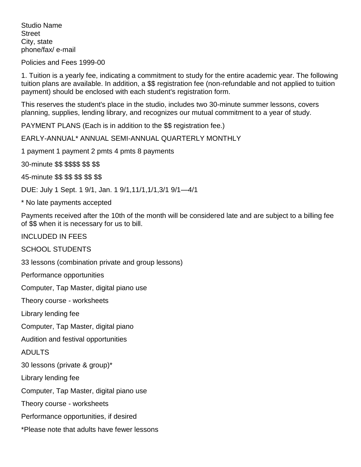Studio Name **Street** City, state phone/fax/ e-mail

Policies and Fees 1999-00

1. Tuition is a yearly fee, indicating a commitment to study for the entire academic year. The following tuition plans are available. In addition, a \$\$ registration fee (non-refundable and not applied to tuition payment) should be enclosed with each student's registration form.

This reserves the student's place in the studio, includes two 30-minute summer lessons, covers planning, supplies, lending library, and recognizes our mutual commitment to a year of study.

PAYMENT PLANS (Each is in addition to the \$\$ registration fee.)

EARLY-ANNUAL\* ANNUAL SEMI-ANNUAL QUARTERLY MONTHLY

1 payment 1 payment 2 pmts 4 pmts 8 payments

30-minute \$\$ \$\$\$\$ \$\$ \$\$

45-minute \$\$ \$\$ \$\$ \$\$ \$\$

DUE: July 1 Sept. 1 9/1, Jan. 1 9/1,11/1,1/1,3/1 9/1—4/1

\* No late payments accepted

Payments received after the 10th of the month will be considered late and are subject to a billing fee of \$\$ when it is necessary for us to bill.

INCLUDED IN FEES

SCHOOL STUDENTS

33 lessons (combination private and group lessons)

Performance opportunities

Computer, Tap Master, digital piano use

Theory course - worksheets

Library lending fee

Computer, Tap Master, digital piano

Audition and festival opportunities

ADULTS

30 lessons (private & group)\*

Library lending fee

Computer, Tap Master, digital piano use

Theory course - worksheets

Performance opportunities, if desired

\*Please note that adults have fewer lessons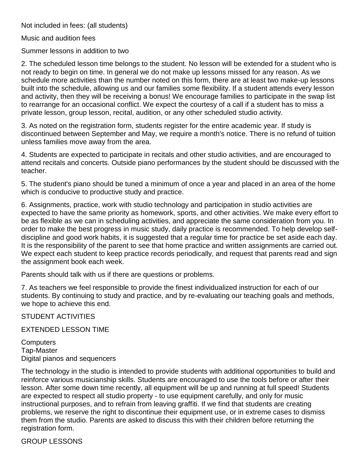Not included in fees: (all students)

Music and audition fees

Summer lessons in addition to two

2. The scheduled lesson time belongs to the student. No lesson will be extended for a student who is not ready to begin on time. In general we do not make up lessons missed for any reason. As we schedule more activities than the number noted on this form, there are at least two make-up lessons built into the schedule, allowing us and our families some flexibility. If a student attends every lesson and activity, then they will be receiving a bonus! We encourage families to participate in the swap list to rearrange for an occasional conflict. We expect the courtesy of a call if a student has to miss a private lesson, group lesson, recital, audition, or any other scheduled studio activity.

3. As noted on the registration form, students register for the entire academic year. If study is discontinued between September and May, we require a month's notice. There is no refund of tuition unless families move away from the area.

4. Students are expected to participate in recitals and other studio activities, and are encouraged to attend recitals and concerts. Outside piano performances by the student should be discussed with the teacher.

5. The student's piano should be tuned a minimum of once a year and placed in an area of the home which is conducive to productive study and practice.

6. Assignments, practice, work with studio technology and participation in studio activities are expected to have the same priority as homework, sports, and other activities. We make every effort to be as flexible as we can in scheduling activities, and appreciate the same consideration from you. In order to make the best progress in music study, daily practice is recommended. To help develop selfdiscipline and good work habits, it is suggested that a regular time for practice be set aside each day. It is the responsibility of the parent to see that home practice and written assignments are carried out. We expect each student to keep practice records periodically, and request that parents read and sign the assignment book each week.

Parents should talk with us if there are questions or problems.

7. As teachers we feel responsible to provide the finest individualized instruction for each of our students. By continuing to study and practice, and by re-evaluating our teaching goals and methods, we hope to achieve this end.

STUDENT ACTIVITIES

EXTENDED LESSON TIME

**Computers** Tap-Master Digital pianos and sequencers

The technology in the studio is intended to provide students with additional opportunities to build and reinforce various musicianship skills. Students are encouraged to use the tools before or after their lesson. After some down time recently, all equipment will be up and running at full speed! Students are expected to respect all studio property - to use equipment carefully, and only for music instructional purposes, and to refrain from leaving graffiti. If we find that students are creating problems, we reserve the right to discontinue their equipment use, or in extreme cases to dismiss them from the studio. Parents are asked to discuss this with their children before returning the registration form.

GROUP LESSONS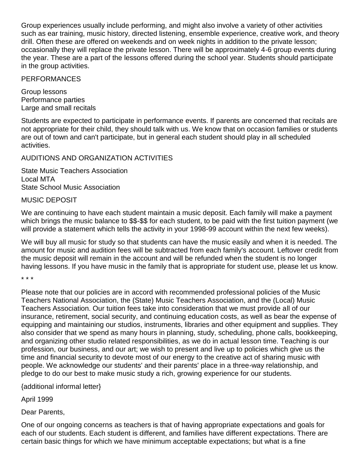Group experiences usually include performing, and might also involve a variety of other activities such as ear training, music history, directed listening, ensemble experience, creative work, and theory drill. Often these are offered on weekends and on week nights in addition to the private lesson; occasionally they will replace the private lesson. There will be approximately 4-6 group events during the year. These are a part of the lessons offered during the school year. Students should participate in the group activities.

## PERFORMANCES

Group lessons Performance parties Large and small recitals

Students are expected to participate in performance events. If parents are concerned that recitals are not appropriate for their child, they should talk with us. We know that on occasion families or students are out of town and can't participate, but in general each student should play in all scheduled activities.

## AUDITIONS AND ORGANIZATION ACTIVITIES

State Music Teachers Association Local MTA State School Music Association

## MUSIC DEPOSIT

We are continuing to have each student maintain a music deposit. Each family will make a payment which brings the music balance to \$\$-\$\$ for each student, to be paid with the first tuition payment (we will provide a statement which tells the activity in your 1998-99 account within the next few weeks).

We will buy all music for study so that students can have the music easily and when it is needed. The amount for music and audition fees will be subtracted from each family's account. Leftover credit from the music deposit will remain in the account and will be refunded when the student is no longer having lessons. If you have music in the family that is appropriate for student use, please let us know.

\* \* \*

Please note that our policies are in accord with recommended professional policies of the Music Teachers National Association, the (State) Music Teachers Association, and the (Local) Music Teachers Association. Our tuition fees take into consideration that we must provide all of our insurance, retirement, social security, and continuing education costs, as well as bear the expense of equipping and maintaining our studios, instruments, libraries and other equipment and supplies. They also consider that we spend as many hours in planning, study, scheduling, phone calls, bookkeeping, and organizing other studio related responsibilities, as we do in actual lesson time. Teaching is our profession, our business, and our art; we wish to present and live up to policies which give us the time and financial security to devote most of our energy to the creative act of sharing music with people. We acknowledge our students' and their parents' place in a three-way relationship, and pledge to do our best to make music study a rich, growing experience for our students.

{additional informal letter}

April 1999

Dear Parents,

One of our ongoing concerns as teachers is that of having appropriate expectations and goals for each of our students. Each student is different, and families have different expectations. There are certain basic things for which we have minimum acceptable expectations; but what is a fine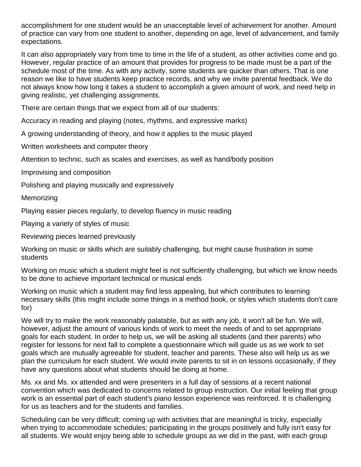accomplishment for one student would be an unacceptable level of achievement for another. Amount of practice can vary from one student to another, depending on age, level of advancement, and family expectations.

It can also appropriately vary from time to time in the life of a student, as other activities come and go. However, regular practice of an amount that provides for progress to be made must be a part of the schedule most of the time. As with any activity, some students are quicker than others. That is one reason we like to have students keep practice records, and why we invite parental feedback. We do not always know how long it takes a student to accomplish a given amount of work, and need help in giving realistic, yet challenging assignments.

There are certain things that we expect from all of our students:

Accuracy in reading and playing (notes, rhythms, and expressive marks)

A growing understanding of theory, and how it applies to the music played

Written worksheets and computer theory

Attention to technic, such as scales and exercises, as well as hand/body position

Improvising and composition

Polishing and playing musically and expressively

**Memorizing** 

Playing easier pieces regularly, to develop fluency in music reading

Playing a variety of styles of music

Reviewing pieces learned previously

Working on music or skills which are suitably challenging, but might cause frustration in some students

Working on music which a student might feel is not sufficiently challenging, but which we know needs to be done to achieve important technical or musical ends

Working on music which a student may find less appealing, but which contributes to learning necessary skills (this might include some things in a method book, or styles which students don't care for)

We will try to make the work reasonably palatable, but as with any job, it won't all be fun. We will, however, adjust the amount of various kinds of work to meet the needs of and to set appropriate goals for each student. In order to help us, we will be asking all students (and their parents) who register for lessons for next fall to complete a questionnaire which will guide us as we work to set goals which are mutually agreeable for student, teacher and parents. These also will help us as we plan the curriculum for each student. We would invite parents to sit in on lessons occasionally, if they have any questions about what students should be doing at home.

Ms. xx and Ms. xx attended and were presenters in a full day of sessions at a recent national convention which was dedicated to concerns related to group instruction. Our initial feeling that group work is an essential part of each student's piano lesson experience was reinforced. It is challenging for us as teachers and for the students and families.

Scheduling can be very difficult; coming up with activities that are meaningful is tricky, especially when trying to accommodate schedules; participating in the groups positively and fully isn't easy for all students. We would enjoy being able to schedule groups as we did in the past, with each group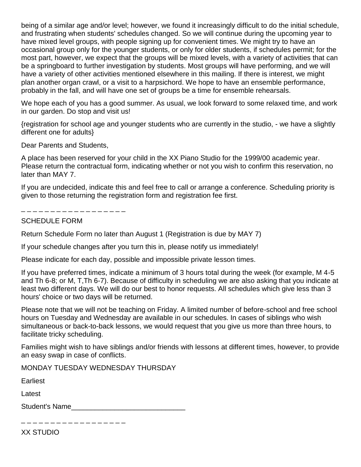being of a similar age and/or level; however, we found it increasingly difficult to do the initial schedule, and frustrating when students' schedules changed. So we will continue during the upcoming year to have mixed level groups, with people signing up for convenient times. We might try to have an occasional group only for the younger students, or only for older students, if schedules permit; for the most part, however, we expect that the groups will be mixed levels, with a variety of activities that can be a springboard to further investigation by students. Most groups will have performing, and we will have a variety of other activities mentioned elsewhere in this mailing. If there is interest, we might plan another organ crawl, or a visit to a harpsichord. We hope to have an ensemble performance, probably in the fall, and will have one set of groups be a time for ensemble rehearsals.

We hope each of you has a good summer. As usual, we look forward to some relaxed time, and work in our garden. Do stop and visit us!

{registration for school age and younger students who are currently in the studio, - we have a slightly different one for adults}

Dear Parents and Students,

A place has been reserved for your child in the XX Piano Studio for the 1999/00 academic year. Please return the contractual form, indicating whether or not you wish to confirm this reservation, no later than MAY 7.

If you are undecided, indicate this and feel free to call or arrange a conference. Scheduling priority is given to those returning the registration form and registration fee first.

. \_ \_ \_ \_ \_ \_ \_ \_ \_ \_ \_ \_ \_ \_ \_ \_ \_ \_

## SCHEDULE FORM

Return Schedule Form no later than August 1 (Registration is due by MAY 7)

If your schedule changes after you turn this in, please notify us immediately!

Please indicate for each day, possible and impossible private lesson times.

If you have preferred times, indicate a minimum of 3 hours total during the week (for example, M 4-5 and Th 6-8; or M, T,Th 6-7). Because of difficulty in scheduling we are also asking that you indicate at least two different days. We will do our best to honor requests. All schedules which give less than 3 hours' choice or two days will be returned.

Please note that we will not be teaching on Friday. A limited number of before-school and free school hours on Tuesday and Wednesday are available in our schedules. In cases of siblings who wish simultaneous or back-to-back lessons, we would request that you give us more than three hours, to facilitate tricky scheduling.

Families might wish to have siblings and/or friends with lessons at different times, however, to provide an easy swap in case of conflicts.

MONDAY TUESDAY WEDNESDAY THURSDAY

Earliest

Latest

Student's Name\_\_\_\_\_\_\_\_\_\_\_\_\_\_\_\_\_\_\_\_\_\_\_\_\_\_\_\_\_

\_ \_ \_ \_ \_ \_ \_ \_ \_ \_ \_ \_ \_ \_ \_ \_ \_

XX STUDIO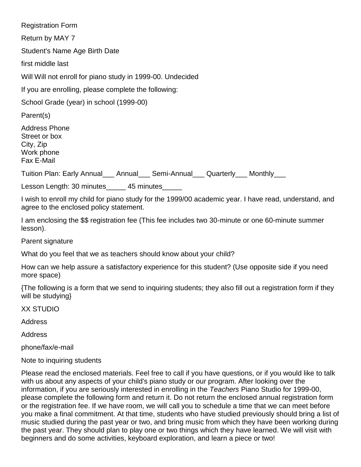Registration Form Return by MAY 7 Student's Name Age Birth Date first middle last Will Will not enroll for piano study in 1999-00. Undecided If you are enrolling, please complete the following: School Grade (year) in school (1999-00) Parent(s) Address Phone Street or box City, Zip Work phone Fax E-Mail Tuition Plan: Early Annual\_\_\_ Annual\_\_\_ Semi-Annual\_\_\_ Quarterly\_\_\_ Monthly\_\_\_ Lesson Length: 30 minutes 45 minutes I wish to enroll my child for piano study for the 1999/00 academic year. I have read, understand, and agree to the enclosed policy statement.

I am enclosing the \$\$ registration fee (This fee includes two 30-minute or one 60-minute summer lesson).

Parent signature

What do you feel that we as teachers should know about your child?

How can we help assure a satisfactory experience for this student? (Use opposite side if you need more space)

{The following is a form that we send to inquiring students; they also fill out a registration form if they will be studying}

XX STUDIO

Address

Address

phone/fax/e-mail

Note to inquiring students

Please read the enclosed materials. Feel free to call if you have questions, or if you would like to talk with us about any aspects of your child's piano study or our program. After looking over the information, if you are seriously interested in enrolling in the *Teachers* Piano Studio for 1999-00, please complete the following form and return it. Do not return the enclosed annual registration form or the registration fee. If we have room, we will call you to schedule a time that we can meet before you make a final commitment. At that time, students who have studied previously should bring a list of music studied during the past year or two, and bring music from which they have been working during the past year. They should plan to play one or two things which they have learned. We will visit with beginners and do some activities, keyboard exploration, and learn a piece or two!